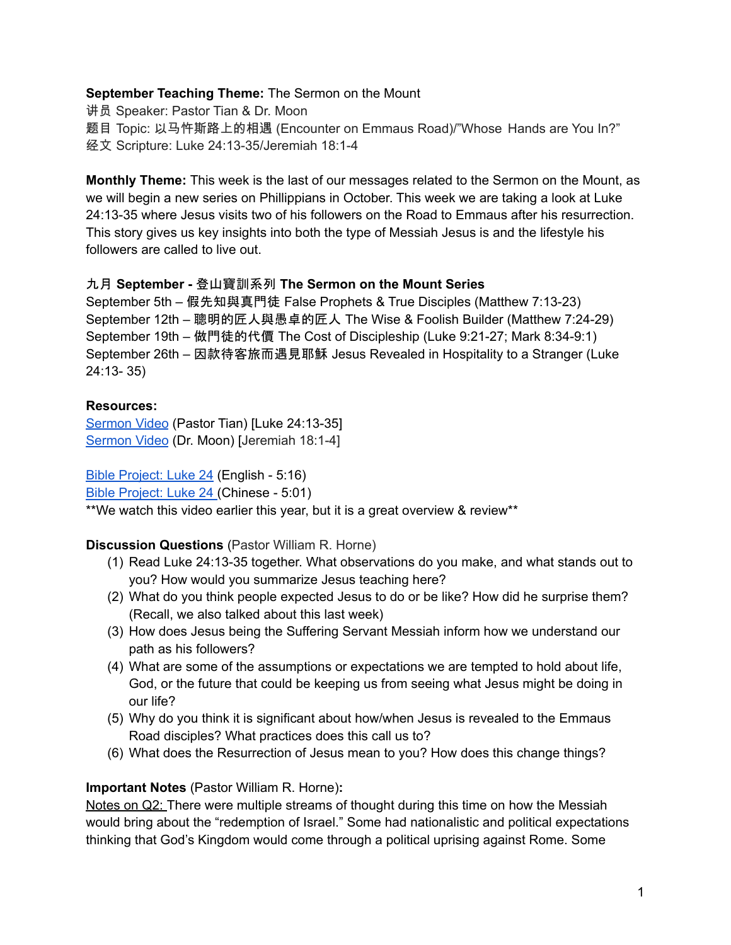#### **September Teaching Theme:** The Sermon on the Mount

讲员 Speaker: Pastor Tian & Dr. Moon 题目 Topic: 以马忤斯路上的相遇 (Encounter on Emmaus Road)/"Whose Hands are You In?" 经文 Scripture: Luke 24:13-35/Jeremiah 18:1-4

**Monthly Theme:** This week is the last of our messages related to the Sermon on the Mount, as we will begin a new series on Phillippians in October. This week we are taking a look at Luke 24:13-35 where Jesus visits two of his followers on the Road to Emmaus after his resurrection. This story gives us key insights into both the type of Messiah Jesus is and the lifestyle his followers are called to live out.

#### 九月 **September -** 登山寶訓系列 **The Sermon on the Mount Series**

September 5th – 假先知與真門徒 False Prophets & True Disciples (Matthew 7:13-23) September 12th – 聰明的匠人與愚卓的匠人 The Wise & Foolish Builder (Matthew 7:24-29) September 19th – 做門徒的代價 The Cost of Discipleship (Luke 9:21-27; Mark 8:34-9:1) September 26th – 因款待客旅而遇見耶穌 Jesus Revealed in Hospitality to a Stranger (Luke 24:13- 35)

## **Resources:**

[Sermon](https://youtu.be/RkbKtiERab0?t=182) Video (Pastor Tian) [Luke 24:13-35] [Sermon](https://youtu.be/6hWaVDeIID0?t=2026) Video (Dr. Moon) [Jeremiah 18:1-4]

Bible [Project:](https://bibleproject.com/explore/video/gospel-luke-5/) Luke 24 (English - 5:16) Bible [Project:](https://www.youtube.com/watch?v=PkokZHW-Sgs) Luke 24 (Chinese - 5:01) \*\*We watch this video earlier this year, but it is a great overview & review\*\*

## **Discussion Questions** (Pastor William R. Horne)

- (1) Read Luke 24:13-35 together. What observations do you make, and what stands out to you? How would you summarize Jesus teaching here?
- (2) What do you think people expected Jesus to do or be like? How did he surprise them? (Recall, we also talked about this last week)
- (3) How does Jesus being the Suffering Servant Messiah inform how we understand our path as his followers?
- (4) What are some of the assumptions or expectations we are tempted to hold about life, God, or the future that could be keeping us from seeing what Jesus might be doing in our life?
- (5) Why do you think it is significant about how/when Jesus is revealed to the Emmaus Road disciples? What practices does this call us to?
- (6) What does the Resurrection of Jesus mean to you? How does this change things?

## **Important Notes** (Pastor William R. Horne)**:**

Notes on Q2: There were multiple streams of thought during this time on how the Messiah would bring about the "redemption of Israel." Some had nationalistic and political expectations thinking that God's Kingdom would come through a political uprising against Rome. Some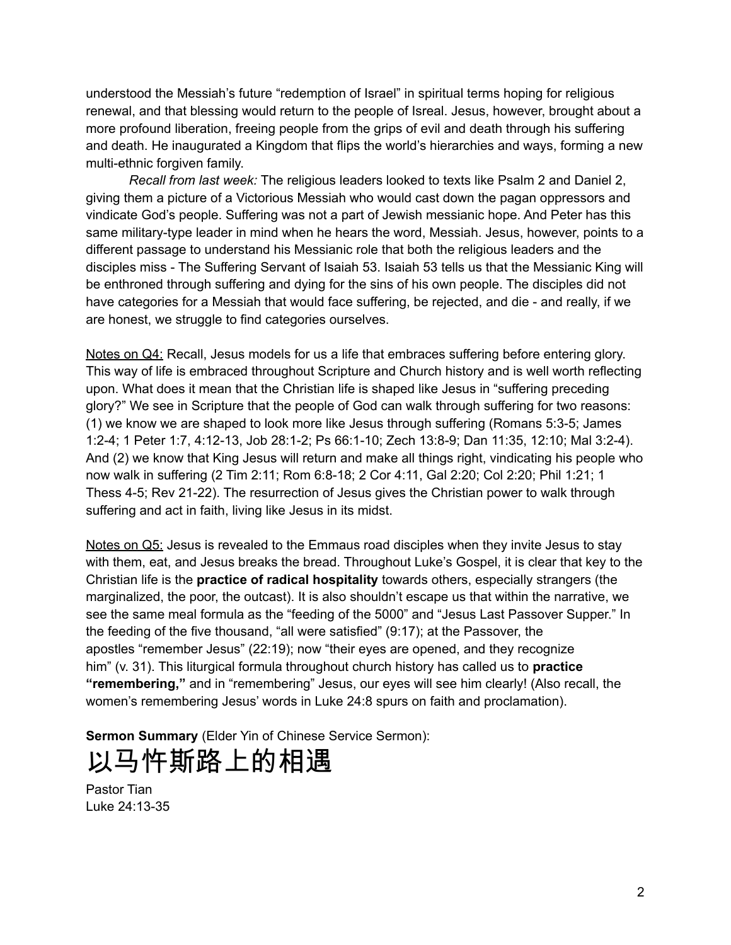understood the Messiah's future "redemption of Israel" in spiritual terms hoping for religious renewal, and that blessing would return to the people of Isreal. Jesus, however, brought about a more profound liberation, freeing people from the grips of evil and death through his suffering and death. He inaugurated a Kingdom that flips the world's hierarchies and ways, forming a new multi-ethnic forgiven family.

*Recall from last week:* The religious leaders looked to texts like Psalm 2 and Daniel 2, giving them a picture of a Victorious Messiah who would cast down the pagan oppressors and vindicate God's people. Suffering was not a part of Jewish messianic hope. And Peter has this same military-type leader in mind when he hears the word, Messiah. Jesus, however, points to a different passage to understand his Messianic role that both the religious leaders and the disciples miss - The Suffering Servant of Isaiah 53. Isaiah 53 tells us that the Messianic King will be enthroned through suffering and dying for the sins of his own people. The disciples did not have categories for a Messiah that would face suffering, be rejected, and die - and really, if we are honest, we struggle to find categories ourselves.

Notes on Q4: Recall, Jesus models for us a life that embraces suffering before entering glory. This way of life is embraced throughout Scripture and Church history and is well worth reflecting upon. What does it mean that the Christian life is shaped like Jesus in "suffering preceding glory?" We see in Scripture that the people of God can walk through suffering for two reasons: (1) we know we are shaped to look more like Jesus through suffering (Romans 5:3-5; James 1:2-4; 1 Peter 1:7, 4:12-13, Job 28:1-2; Ps 66:1-10; Zech 13:8-9; Dan 11:35, 12:10; Mal 3:2-4). And (2) we know that King Jesus will return and make all things right, vindicating his people who now walk in suffering (2 Tim 2:11; Rom 6:8-18; 2 Cor 4:11, Gal 2:20; Col 2:20; Phil 1:21; 1 Thess 4-5; Rev 21-22). The resurrection of Jesus gives the Christian power to walk through suffering and act in faith, living like Jesus in its midst.

Notes on Q5: Jesus is revealed to the Emmaus road disciples when they invite Jesus to stay with them, eat, and Jesus breaks the bread. Throughout Luke's Gospel, it is clear that key to the Christian life is the **practice of radical hospitality** towards others, especially strangers (the marginalized, the poor, the outcast). It is also shouldn't escape us that within the narrative, we see the same meal formula as the "feeding of the 5000" and "Jesus Last Passover Supper." In the feeding of the five thousand, "all were satisfied" (9:17); at the Passover, the apostles "remember Jesus" (22:19); now "their eyes are opened, and they recognize him" (v. 31). This liturgical formula throughout church history has called us to **practice "remembering,"** and in "remembering" Jesus, our eyes will see him clearly! (Also recall, the women's remembering Jesus' words in Luke 24:8 spurs on faith and proclamation).

**Sermon Summary** (Elder Yin of Chinese Service Sermon):

# 以马忤斯路上的相遇

Pastor Tian Luke 24:13-35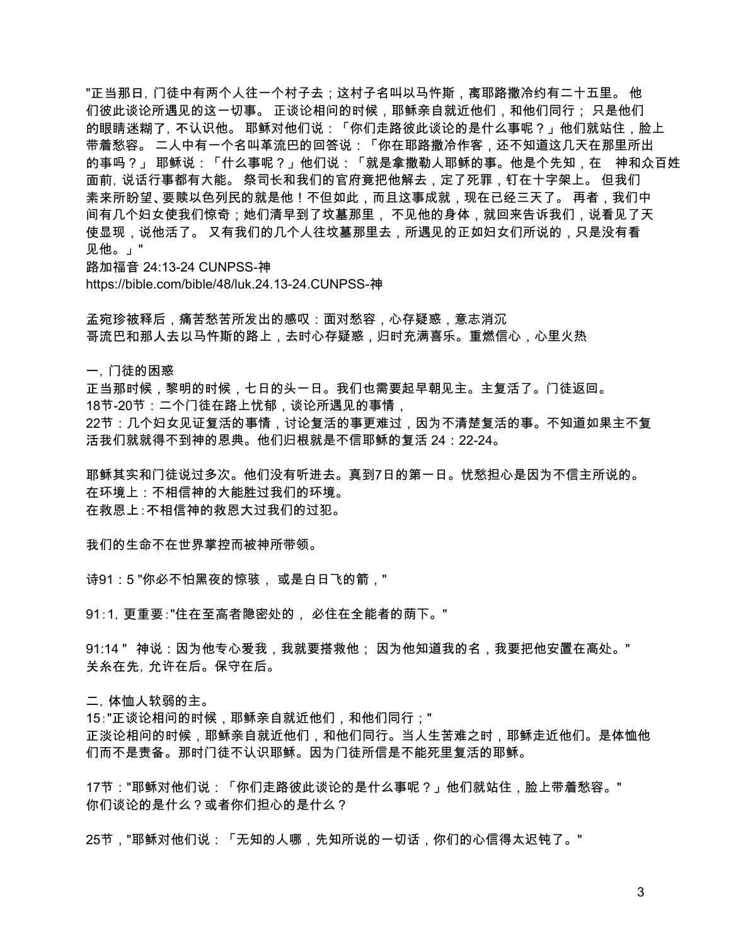"正当那日, 门徒中有两个人往一个村子去;这村子名叫以马忤斯,离耶路撒冷约有二十五里。 他 们彼此谈论所遇见的这一切事。 正谈论相问的时候,耶稣亲自就近他们,和他们同行; 只是他们 的眼睛迷糊了, 不认识他。 耶稣对他们说:「你们走路彼此谈论的是什么事呢?」他们就站住,脸上 带着愁容。 二人中有一个名叫革流巴的回答说:「你在耶路撒冷作客,还不知道这几天在那里所出 的事吗?」 耶稣说:「什么事呢?」他们说:「就是拿撒勒人耶稣的事。他是个先知,在 神和众百姓 面前,说话行事都有大能。 祭司长和我们的官府竟把他解去,定了死罪,钉在十字架上。 但我们 素来所盼望、要赎以色列民的就是他!不但如此,而且这事成就,现在已经三天了。 再者,我们中 间有几个妇女使我们惊奇;她们清早到了坟墓那里, 不见他的身体,就回来告诉我们,说看见了天 使显现,说他活了。 又有我们的几个人往坟墓那里去,所遇见的正如妇女们所说的,只是没有看 见他。」"

路加福音 24:13-24 CUNPSS-神

https://bible.com/bible/48/luk.24.13-24.CUNPSS-神

孟宛珍被释后,痛苦愁苦所发出的感叹:面对愁容,心存疑惑,意志消沉 哥流巴和那人去以马忤斯的路上,去时心存疑惑,归时充满喜乐。重燃信心,心里火热

一,门徒的困惑

正当那时候,黎明的时候,七日的头一日。我们也需要起早朝见主。主复活了。门徒返回。 18节-20节:二个门徒在路上忧郁,谈论所遇见的事情,

22节:几个妇女见证复活的事情,讨论复活的事更难过,因为不清楚复活的事。不知道如果主不复 活我们就就得不到神的恩典。他们归根就是不信耶稣的复活 24:22-24。

耶稣其实和门徒说过多次。他们没有听进去。真到7日的第一日。忧愁担心是因为不信主所说的。 在环境上:不相信神的大能胜过我们的环境。 在救恩上:不相信神的救恩大过我们的过犯。

我们的生命不在世界掌控而被神所带领。

诗91:5 "你必不怕黑夜的惊骇, 或是白日飞的箭,"

91:1,更重要:"住在至高者隐密处的, 必住在全能者的荫下。"

91:14 " 神说:因为他专心爱我,我就要搭救他; 因为他知道我的名,我要把他安置在高处。" 关糸在先,允许在后。保守在后。

二,体恤人软弱的主。

15:"正谈论相问的时候,耶稣亲自就近他们,和他们同行;" 正淡论相问的时候,耶稣亲自就近他们,和他们同行。当人生苦难之时,耶稣走近他们。是体恤他 们而不是责备。那时门徒不认识耶稣。因为门徒所信是不能死里复活的耶稣。

17节:"耶稣对他们说:「你们走路彼此谈论的是什么事呢?」他们就站住,脸上带着愁容。" 你们谈论的是什么?或者你们担心的是什么?

25节,"耶稣对他们说:「无知的人哪,先知所说的一切话,你们的心信得太迟钝了。"